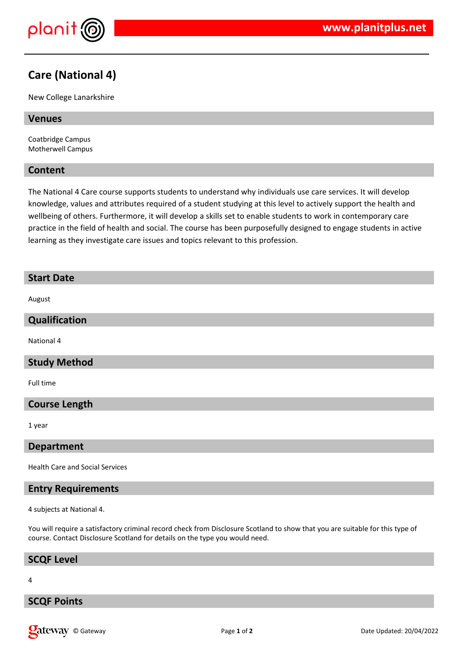

# **Care (National 4)**

New College Lanarkshire

#### **Venues**

Coatbridge Campus Motherwell Campus

#### **Content**

The National 4 Care course supports students to understand why individuals use care services. It will develop knowledge, values and attributes required of a student studying at this level to actively support the health and wellbeing of others. Furthermore, it will develop a skills set to enable students to work in contemporary care practice in the field of health and social. The course has been purposefully designed to engage students in active learning as they investigate care issues and topics relevant to this profession.

# **Start Date** August **Qualification** National 4 **Study Method** Full time

#### **Course Length**

1 year

#### **Department**

Health Care and Social Services

### **Entry Requirements**

4 subjects at National 4.

You will require a satisfactory criminal record check from Disclosure Scotland to show that you are suitable for this type of course. Contact Disclosure Scotland for details on the type you would need.

#### **SCQF Level**

#### 4

#### **SCQF Points**